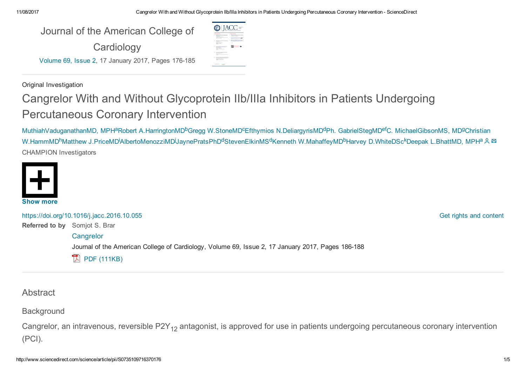| Journal of the American College of                 |  |  |  |
|----------------------------------------------------|--|--|--|
| Cardiology                                         |  |  |  |
| Volume 69, Issue 2, 17 January 2017, Pages 176-185 |  |  |  |

Original Investigation

# Cangrelor With and Without Glycoprotein IIb/IIIa Inhibitors in Patients Undergoing Percutaneous Coronary Intervention

 $\circ$  IACC =

**Alberta** 

**图 1980** 

[MuthiahVaduganathanMD,](http://www.sciencedirect.com/science/article/pii/S0735109716370176#!) MPH<sup>a</sup>Robert [A.HarringtonMD](http://www.sciencedirect.com/science/article/pii/S0735109716370176#!)<sup>b</sup>Gregg [W.StoneMD](http://www.sciencedirect.com/science/article/pii/S0735109716370176#!)<sup>c</sup>Efthymios [N.DeliargyrisMD](http://www.sciencedirect.com/science/article/pii/S0735109716370176#!)<sup>d</sup>Ph. [GabrielStegMD](http://www.sciencedirect.com/science/article/pii/S0735109716370176#!)<sup>ef</sup>C. [MichaelGibsonMS,](http://www.sciencedirect.com/science/article/pii/S0735109716370176#!) MD<sup>g</sup>Christian W.HammMD<sup>h</sup>Matthew J.PriceMD<sup>i</sup>AlbertoMenozziMD<sup>j</sup>JaynePratsPhD<sup>d</sup>[StevenElkinMS](http://www.sciencedirect.com/science/article/pii/S0735109716370176#!)<sup>d</sup>Kenneth [W.MahaffeyMD](http://www.sciencedirect.com/science/article/pii/S0735109716370176#!)<sup>b</sup>Harvey [D.WhiteDSc](http://www.sciencedirect.com/science/article/pii/S0735109716370176#!)<sup>k</sup>Deepak [L.BhattMD,](http://www.sciencedirect.com/science/article/pii/S0735109716370176#!) MPH<sup>a</sup> CHAMPION Investigators



Referred to by Somjot S. Brar <https://doi.org/10.1016/j.jacc.2016.10.055> **[Cangrelor](http://www.sciencedirect.com/science/article/pii/S0735109716370188)** Journal of the American College of Cardiology, Volume 69, Issue 2, 17 January 2017, Pages 186-188  $\mathbb{R}$  PDF [\(111KB\)](http://www.sciencedirect.com/science/article/pii/S0735109716370188/pdfft?md5=19f5377f5d6b9cf36a0131378b941cb5&pid=1-s2.0-S0735109716370188-main.pdf)

Get rights and [content](https://s100.copyright.com/AppDispatchServlet?publisherName=ELS&contentID=S0735109716370176&orderBeanReset=true)

**Abstract** 

**Background** 

Cangrelor, an intravenous, reversible P2Y<sub>12</sub> antagonist, is approved for use in patients undergoing percutaneous coronary intervention (PCI).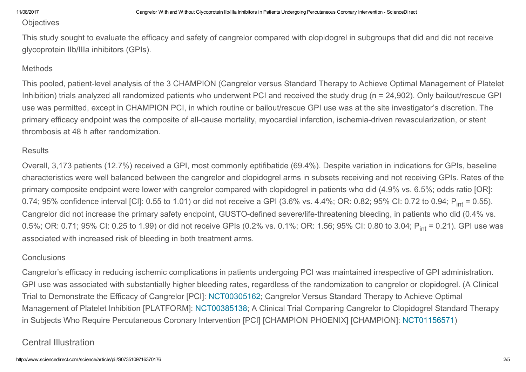## **Objectives**

This study sought to evaluate the efficacy and safety of cangrelor compared with clopidogrel in subgroups that did and did not receive glycoprotein IIb/IIIa inhibitors (GPIs).

# **Methods**

This pooled, patient-level analysis of the 3 CHAMPION (Cangrelor versus Standard Therapy to Achieve Optimal Management of Platelet Inhibition) trials analyzed all randomized patients who underwent PCI and received the study drug (n = 24,902). Only bailout/rescue GPI use was permitted, except in CHAMPION PCI, in which routine or bailout/rescue GPI use was at the site investigator's discretion. The primary efficacy endpoint was the composite of all-cause mortality, myocardial infarction, ischemia-driven revascularization, or stent thrombosis at 48 h after randomization.

# **Results**

Overall, 3,173 patients (12.7%) received a GPI, most commonly eptifibatide (69.4%). Despite variation in indications for GPIs, baseline characteristics were well balanced between the cangrelor and clopidogrel arms in subsets receiving and not receiving GPIs. Rates of the primary composite endpoint were lower with cangrelor compared with clopidogrel in patients who did (4.9% vs. 6.5%; odds ratio [OR]: 0.74; 95% confidence interval [CI]: 0.55 to 1.01) or did not receive a GPI (3.6% vs. 4.4%; OR: 0.82; 95% CI: 0.72 to 0.94; P<sub>int</sub> = 0.55). Cangrelor did not increase the primary safety endpoint, GUSTO-defined severe/life-threatening bleeding, in patients who did (0.4% vs. 0.5%; OR: 0.71; 95% CI: 0.25 to 1.99) or did not receive GPIs (0.2% vs. 0.1%; OR: 1.56; 95% CI: 0.80 to 3.04; P<sub>int</sub> = 0.21). GPI use was associated with increased risk of bleeding in both treatment arms.

# **Conclusions**

Cangrelor's efficacy in reducing ischemic complications in patients undergoing PCI was maintained irrespective of GPI administration. GPI use was associated with substantially higher bleeding rates, regardless of the randomization to cangrelor or clopidogrel. (A Clinical Trial to Demonstrate the Efficacy of Cangrelor [PCI]: [NCT00305162;](https://clinicaltrials.gov/ct2/show/NCT00305162) Cangrelor Versus Standard Therapy to Achieve Optimal Management of Platelet Inhibition [PLATFORM]: [NCT00385138](https://clinicaltrials.gov/ct2/show/NCT00385138); A Clinical Trial Comparing Cangrelor to Clopidogrel Standard Therapy in Subjects Who Require Percutaneous Coronary Intervention [PCI] [CHAMPION PHOENIX] [CHAMPION]: [NCT01156571](https://clinicaltrials.gov/ct2/show/NCT01156571))

# Central Illustration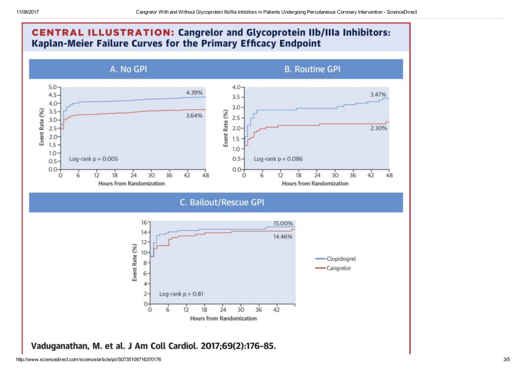

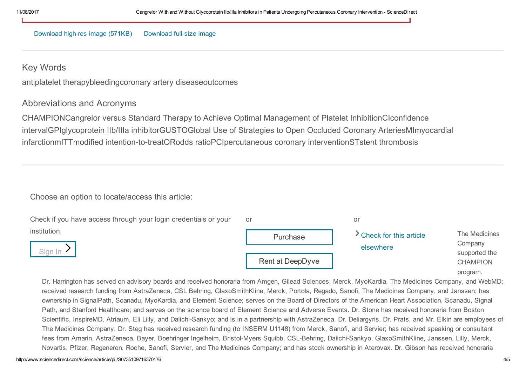#### [Download](http://ars.els-cdn.com/content/image/1-s2.0-S0735109716370176-fx1.jpg) high-res image (571KB) Download full-size image

# Key Words

antiplatelet therapybleedingcoronary artery diseaseoutcomes

# Abbreviations and Acronyms

CHAMPIONCangrelor versus Standard Therapy to Achieve Optimal Management of Platelet InhibitionCIconfidence intervalGPIglycoprotein IIb/IIIa inhibitorGUSTOGlobal Use of Strategies to Open Occluded Coronary ArteriesMImyocardial infarctionmITTmodified intention-to-treatORodds ratioPCIpercutaneous coronary interventionSTstent thrombosis

### Choose an option to locate/access this article:

| Check if you have access through your login credentials or your | or               | or                                    |                                                                          |
|-----------------------------------------------------------------|------------------|---------------------------------------|--------------------------------------------------------------------------|
| institution.<br>Sign In                                         | Purchase         | > Check for this article<br>elsewhere | The Medicines<br>Company<br>supported the<br><b>CHAMPION</b><br>program. |
|                                                                 | Rent at DeepDyve |                                       |                                                                          |

Dr. Harrington has served on advisory boards and received honoraria from Amgen, Gilead Sciences, Merck, MyoKardia, The Medicines Company, and WebMD; received research funding from AstraZeneca, CSL Behring, GlaxoSmithKline, Merck, Portola, Regado, Sanofi, The Medicines Company, and Janssen; has ownership in SignalPath, Scanadu, MyoKardia, and Element Science; serves on the Board of Directors of the American Heart Association, Scanadu, Signal Path, and Stanford Healthcare; and serves on the science board of Element Science and Adverse Events. Dr. Stone has received honoraria from Boston Scientific, InspireMD, Atriaum, Eli Lilly, and Daiichi-Sankyo; and is in a partnership with AstraZeneca. Dr. Deliargyris, Dr. Prats, and Mr. Elkin are employees of The Medicines Company. Dr. Steg has received research funding (to INSERM U1148) from Merck, Sanofi, and Servier; has received speaking or consultant fees from Amarin, AstraZeneca, Bayer, Boehringer Ingelheim, Bristol-Myers Squibb, CSL-Behring, Daiichi-Sankyo, GlaxoSmithKline, Janssen, Lilly, Merck, Novartis, Pfizer, Regeneron, Roche, Sanofi, Servier, and The Medicines Company; and has stock ownership in Aterovax. Dr. Gibson has received honoraria